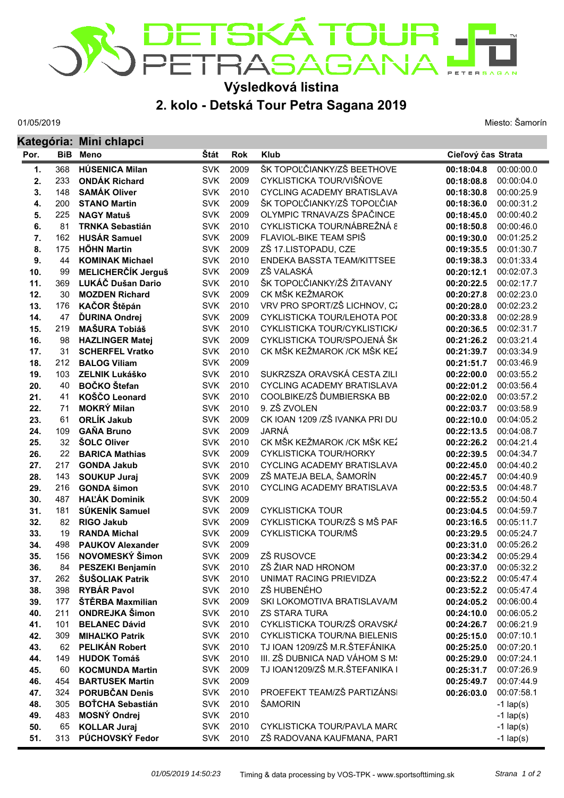

## **2. kolo - Detská Tour Petra Sagana 2019 Výsledková listina**

01/05/2019

Miesto: Šamorín

|            |            | Kategória: Mini chlapci                      |                          |              |                                                             |                          |                          |
|------------|------------|----------------------------------------------|--------------------------|--------------|-------------------------------------------------------------|--------------------------|--------------------------|
| Por.       | <b>BiB</b> | Meno                                         | Štát                     | <b>Rok</b>   | <b>Klub</b>                                                 | Cieľový čas Strata       |                          |
| 1.         | 368        | <b>HÚSENICA Milan</b>                        | <b>SVK</b>               | 2009         | ŠK TOPOĽČIANKY/ZŠ BEETHOVE                                  | 00:18:04.8               | 00:00:00.0               |
| 2.         | 233        | <b>ONDÁK Richard</b>                         | <b>SVK</b>               | 2009         | CYKLISTICKA TOUR/VIŠŇOVE                                    | 00:18:08.8               | 00:00:04.0               |
| 3.         | 148        | <b>SAMÁK Oliver</b>                          | <b>SVK</b>               | 2010         | <b>CYCLING ACADEMY BRATISLAVA</b>                           | 00:18:30.8               | 00:00:25.9               |
| 4.         | 200        | <b>STANO Martin</b>                          | <b>SVK</b>               | 2009         | ŠK TOPOĽČIANKY/ZŠ TOPOĽČIAN                                 | 00:18:36.0               | 00:00:31.2               |
| 5.         | 225        | <b>NAGY Matuš</b>                            | <b>SVK</b>               | 2009         | OLYMPIC TRNAVA/ZS ŠPAČINCE                                  | 00:18:45.0               | 00:00:40.2               |
| 6.         | 81         | <b>TRNKA Sebastián</b>                       | <b>SVK</b>               | 2010         | CYKLISTICKA TOUR/NÁBREŽNÁ 8                                 | 00:18:50.8               | 00:00:46.0               |
| 7.         | 162        | <b>HUSÁR Samuel</b>                          | <b>SVK</b>               | 2009         | FLAVIOL-BIKE TEAM SPIŠ                                      | 00:19:30.0               | 00:01:25.2               |
| 8.         | 175        | <b>HŐHN Martin</b>                           | <b>SVK</b>               | 2009         | ZŠ 17.LISTOPADU, CZE                                        | 00:19:35.5               | 00:01:30.7               |
| 9.         | 44         | <b>KOMINAK Michael</b>                       | <b>SVK</b>               | 2010         | ENDEKA BASSTA TEAM/KITTSEE                                  | 00:19:38.3               | 00:01:33.4               |
| 10.        | 99         | <b>MELICHERČÍK Jerguš</b>                    | <b>SVK</b>               | 2009         | ZŠ VALASKÁ                                                  | 00:20:12.1               | 00:02:07.3               |
| 11.        | 369        | LUKÁČ Dušan Dario                            | <b>SVK</b>               | 2010         | ŠK TOPOĽČIANKY/ŽŠ ŽITAVANY                                  | 00:20:22.5               | 00:02:17.7               |
| 12.        | 30         | <b>MOZDEN Richard</b>                        | <b>SVK</b>               | 2009         | CK MŠK KEŽMAROK                                             | 00:20:27.8               | 00:02:23.0               |
| 13.        | 176        | KAČOR Štěpán                                 | <b>SVK</b>               | 2010         | VRV PRO SPORT/ZŠ LICHNOV, CZ                                | 00:20:28.0               | 00:02:23.2               |
| 14.        | 47         | <b>ĎURINA Ondrej</b>                         | <b>SVK</b>               | 2009         | CYKLISTICKA TOUR/LEHOTA POL                                 | 00:20:33.8               | 00:02:28.9               |
| 15.        | 219        | <b>MAŠURA Tobiáš</b>                         | <b>SVK</b>               | 2010         | CYKLISTICKA TOUR/CYKLISTICK/                                | 00:20:36.5               | 00:02:31.7               |
| 16.        | 98         | <b>HAZLINGER Matej</b>                       | <b>SVK</b>               | 2009         | CYKLISTICKA TOUR/SPOJENÁ ŠK<br>CK MŠK KEŽMAROK / CK MŠK KEŽ | 00:21:26.2               | 00:03:21.4               |
| 17.        | 31         | <b>SCHERFEL Vratko</b>                       | <b>SVK</b><br><b>SVK</b> | 2010<br>2009 |                                                             | 00:21:39.7               | 00:03:34.9               |
| 18.        | 212<br>103 | <b>BALOG Viliam</b><br><b>ZELNIK Lukáško</b> | <b>SVK</b>               | 2010         | SUKRZSZA ORAVSKÁ CESTA ZILI                                 | 00:21:51.7               | 00:03:46.9<br>00:03:55.2 |
| 19.<br>20. | 40         | <b>BOČKO</b> Štefan                          | <b>SVK</b>               | 2010         | <b>CYCLING ACADEMY BRATISLAVA</b>                           | 00:22:00.0<br>00:22:01.2 | 00:03:56.4               |
| 21.        | 41         | KOŠČO Leonard                                | <b>SVK</b>               | 2010         | COOLBIKE/ZŠ ĎUMBIERSKA BB                                   | 00:22:02.0               | 00:03:57.2               |
| 22.        | 71         | <b>MOKRÝ Milan</b>                           | <b>SVK</b>               | 2010         | 9. ZŠ ZVOLEN                                                | 00:22:03.7               | 00:03:58.9               |
| 23.        | 61         | <b>ORLÍK Jakub</b>                           | <b>SVK</b>               | 2009         | CK IOAN 1209 / ZŠ IVANKA PRI DU                             | 00:22:10.0               | 00:04:05.2               |
| 24.        | 109        | <b>GAŇA Bruno</b>                            | <b>SVK</b>               | 2009         | JARNÁ                                                       | 00:22:13.5               | 00:04:08.7               |
| 25.        | 32         | <b>ŠOLC Oliver</b>                           | <b>SVK</b>               | 2010         | CK MŠK KEŽMAROK / CK MŠK KEŽ                                | 00:22:26.2               | 00:04:21.4               |
| 26.        | 22         | <b>BARICA Mathias</b>                        | <b>SVK</b>               | 2009         | <b>CYKLISTICKA TOUR/HORKY</b>                               | 00:22:39.5               | 00:04:34.7               |
| 27.        | 217        | <b>GONDA Jakub</b>                           | <b>SVK</b>               | 2010         | <b>CYCLING ACADEMY BRATISLAVA</b>                           | 00:22:45.0               | 00:04:40.2               |
| 28.        | 143        | <b>SOUKUP Juraj</b>                          | <b>SVK</b>               | 2009         | ZŠ MATEJA BELA, ŠAMORÍN                                     | 00:22:45.7               | 00:04:40.9               |
| 29.        | 216        | <b>GONDA šimon</b>                           | <b>SVK</b>               | 2010         | <b>CYCLING ACADEMY BRATISLAVA</b>                           | 00:22:53.5               | 00:04:48.7               |
| 30.        | 487        | <b>HAĽÁK Dominik</b>                         | <b>SVK</b>               | 2009         |                                                             | 00:22:55.2               | 00:04:50.4               |
| 31.        | 181        | SÚKENÍK Samuel                               | <b>SVK</b>               | 2009         | <b>CYKLISTICKA TOUR</b>                                     | 00:23:04.5               | 00:04:59.7               |
| 32.        | 82         | <b>RIGO Jakub</b>                            | <b>SVK</b>               | 2009         | CYKLISTICKA TOUR/ZŠ S MŠ PAF                                | 00:23:16.5               | 00:05:11.7               |
| 33.        | 19         | <b>RANDA Michal</b>                          | <b>SVK</b>               | 2009         | CYKLISTICKA TOUR/MŠ                                         | 00:23:29.5               | 00:05:24.7               |
| 34.        | 498        | <b>PAUKOV Alexander</b>                      | <b>SVK</b>               | 2009         |                                                             | 00:23:31.0               | 00:05:26.2               |
| 35.        | 156        | NOVOMESKÝ Šimon                              | <b>SVK</b>               | 2009         | ZŠ RUSOVCE                                                  | 00:23:34.2               | 00:05:29.4               |
| 36.        | 84         | PESZEKI Benjamín                             | <b>SVK</b>               | 2010         | ZŠ ŽIAR NAD HRONOM                                          | 00:23:37.0               | 00:05:32.2               |
| 37.        | 262        | ŠUŠOLIAK Patrik                              | <b>SVK</b>               | 2010         | UNIMAT RACING PRIEVIDZA                                     | 00:23:52.2               | 00:05:47.4               |
| 38.        | 398        | <b>RYBÁR Pavol</b>                           | <b>SVK</b>               | 2010         | ZŠ HUBENÉHO                                                 | 00:23:52.2               | 00:05:47.4               |
| 39.        | 177        | ŠTĚRBA Maxmilian                             | <b>SVK</b>               | 2009         | SKI LOKOMOTIVA BRATISLAVA/M                                 | 00:24:05.2               | 00:06:00.4               |
| 40.        | 211        | <b>ONDREJKA Šimon</b>                        | <b>SVK</b>               | 2010         | <b>ZS STARA TURA</b>                                        | 00:24:10.0               | 00:06:05.2               |
| 41.        | 101        | <b>BELANEC Dávid</b>                         | <b>SVK</b>               | 2010         | CYKLISTICKA TOUR/ZŠ ORAVSKÁ                                 | 00:24:26.7               | 00:06:21.9               |
| 42.        | 309        | <b>MIHALKO Patrik</b>                        | <b>SVK</b>               | 2010         | CYKLISTICKA TOUR/NA BIELENIS                                | 00:25:15.0               | 00:07:10.1               |
| 43.        | 62         | <b>PELIKÁN Robert</b>                        | <b>SVK</b>               | 2010         | TJ IOAN 1209/ZŠ M.R.ŠTEFÁNIKA                               | 00:25:25.0               | 00:07:20.1               |
| 44.        | 149        | <b>HUDOK Tomáš</b>                           | <b>SVK</b>               | 2010         | III. ZŠ DUBNICA NAD VÁHOM S M!                              | 00:25:29.0               | 00:07:24.1               |
| 45.        | 60         | <b>KOCMUNDA Martin</b>                       | <b>SVK</b>               | 2009         | TJ IOAN1209/ZŠ M.R.ŠTEFANIKA I                              | 00:25:31.7               | 00:07:26.9               |
| 46.        | 454        | <b>BARTUSEK Martin</b>                       | <b>SVK</b>               | 2009         |                                                             | 00:25:49.7               | 00:07:44.9               |
| 47.        | 324        | <b>PORUBČAN Denis</b>                        | <b>SVK</b>               | 2010         | PROEFEKT TEAM/ZŠ PARTIZÁNSI                                 | 00:26:03.0               | 00:07:58.1               |
| 48.        | 305        | <b>BOTCHA Sebastián</b>                      | <b>SVK</b>               | 2010         | ŠAMORIN                                                     |                          | $-1$ lap(s)              |
| 49.        | 483        | <b>MOSNÝ Ondrej</b>                          | <b>SVK</b>               | 2010         |                                                             |                          | $-1$ lap(s)              |
| 50.        | 65         | <b>KOLLAR Juraj</b>                          | <b>SVK</b>               | 2010         | CYKLISTICKA TOUR/PAVLA MARC                                 |                          | $-1$ lap(s)              |
| 51.        | 313        | PÚCHOVSKÝ Fedor                              | <b>SVK</b>               | 2010         | ZŠ RADOVANA KAUFMANA, PART                                  |                          | $-1$ lap(s)              |